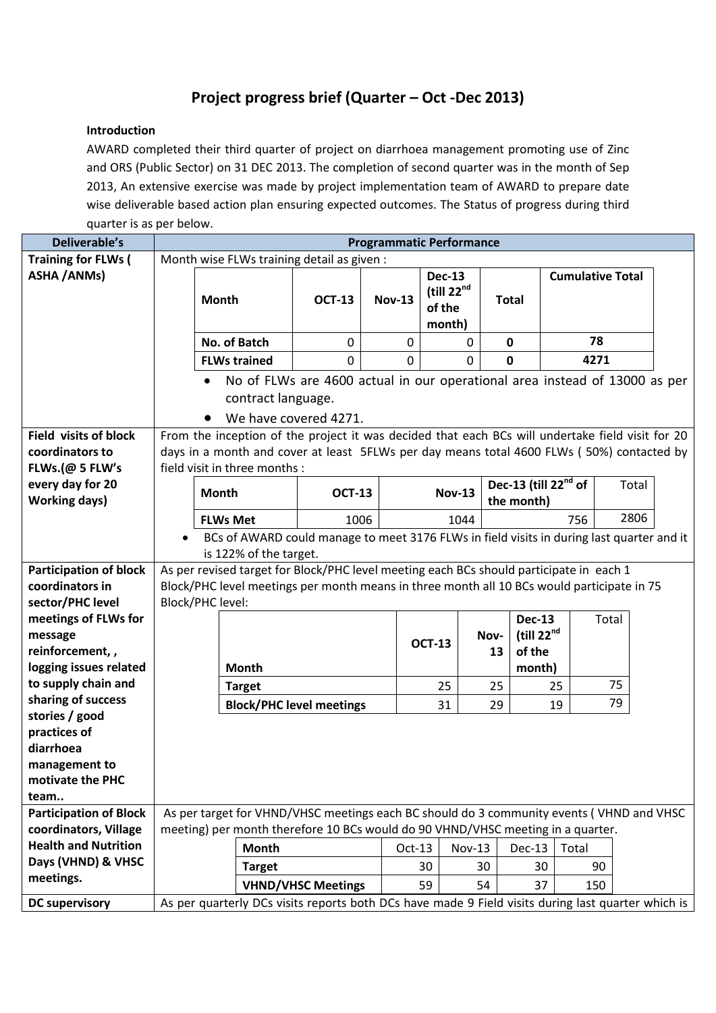## **Project progress brief (Quarter – Oct -Dec 2013)**

## **Introduction**

AWARD completed their third quarter of project on diarrhoea management promoting use of Zinc and ORS (Public Sector) on 31 DEC 2013. The completion of second quarter was in the month of Sep 2013, An extensive exercise was made by project implementation team of AWARD to prepare date wise deliverable based action plan ensuring expected outcomes. The Status of progress during third quarter is as per below.

| <b>Deliverable's</b>                                 | <b>Programmatic Performance</b>                                                                                                                                             |                                                                                                    |                                 |               |                        |               |                                  |                         |       |
|------------------------------------------------------|-----------------------------------------------------------------------------------------------------------------------------------------------------------------------------|----------------------------------------------------------------------------------------------------|---------------------------------|---------------|------------------------|---------------|----------------------------------|-------------------------|-------|
| <b>Training for FLWs (</b>                           | Month wise FLWs training detail as given :                                                                                                                                  |                                                                                                    |                                 |               |                        |               |                                  |                         |       |
| <b>ASHA / ANMs)</b>                                  |                                                                                                                                                                             |                                                                                                    |                                 |               | <b>Dec-13</b>          |               |                                  | <b>Cumulative Total</b> |       |
|                                                      |                                                                                                                                                                             | Month                                                                                              | <b>OCT-13</b>                   | <b>Nov-13</b> | (till 22 <sup>nd</sup> | <b>Total</b>  |                                  |                         |       |
|                                                      |                                                                                                                                                                             |                                                                                                    |                                 |               | of the<br>month)       |               |                                  |                         |       |
|                                                      |                                                                                                                                                                             | No. of Batch                                                                                       | $\mathbf 0$                     | $\mathbf 0$   | $\mathbf 0$            | $\mathbf 0$   |                                  | 78                      |       |
|                                                      |                                                                                                                                                                             |                                                                                                    |                                 |               |                        |               |                                  | 4271                    |       |
|                                                      |                                                                                                                                                                             | <b>FLWs trained</b>                                                                                | $\Omega$                        | $\mathbf 0$   | $\mathbf 0$            | $\mathbf 0$   |                                  |                         |       |
|                                                      | No of FLWs are 4600 actual in our operational area instead of 13000 as per                                                                                                  |                                                                                                    |                                 |               |                        |               |                                  |                         |       |
|                                                      | contract language.                                                                                                                                                          |                                                                                                    |                                 |               |                        |               |                                  |                         |       |
|                                                      | We have covered 4271.                                                                                                                                                       |                                                                                                    |                                 |               |                        |               |                                  |                         |       |
| <b>Field visits of block</b>                         | From the inception of the project it was decided that each BCs will undertake field visit for 20                                                                            |                                                                                                    |                                 |               |                        |               |                                  |                         |       |
| coordinators to                                      | days in a month and cover at least 5FLWs per day means total 4600 FLWs (50%) contacted by                                                                                   |                                                                                                    |                                 |               |                        |               |                                  |                         |       |
| FLWs.(@ 5 FLW's                                      |                                                                                                                                                                             | field visit in three months :                                                                      |                                 |               |                        |               |                                  |                         |       |
| every day for 20                                     |                                                                                                                                                                             | <b>Month</b>                                                                                       |                                 | <b>OCT-13</b> |                        | <b>Nov-13</b> | Dec-13 (till 22 <sup>nd</sup> of |                         | Total |
| <b>Working days)</b>                                 |                                                                                                                                                                             |                                                                                                    |                                 |               |                        | the month)    |                                  |                         |       |
|                                                      |                                                                                                                                                                             | <b>FLWs Met</b>                                                                                    | 1006                            |               | 1044                   |               | 2806<br>756                      |                         |       |
|                                                      | BCs of AWARD could manage to meet 3176 FLWs in field visits in during last quarter and it                                                                                   |                                                                                                    |                                 |               |                        |               |                                  |                         |       |
|                                                      | is 122% of the target.                                                                                                                                                      |                                                                                                    |                                 |               |                        |               |                                  |                         |       |
| <b>Participation of block</b>                        | As per revised target for Block/PHC level meeting each BCs should participate in each 1                                                                                     |                                                                                                    |                                 |               |                        |               |                                  |                         |       |
| coordinators in                                      | Block/PHC level meetings per month means in three month all 10 BCs would participate in 75<br><b>Block/PHC level:</b>                                                       |                                                                                                    |                                 |               |                        |               |                                  |                         |       |
| sector/PHC level<br>meetings of FLWs for             |                                                                                                                                                                             |                                                                                                    |                                 |               |                        |               | <b>Dec-13</b>                    | Total                   |       |
| message                                              |                                                                                                                                                                             |                                                                                                    |                                 |               |                        | Nov-          | (till $22^{nd}$                  |                         |       |
| reinforcement,,                                      |                                                                                                                                                                             |                                                                                                    |                                 |               | <b>OCT-13</b>          | 13            | of the                           |                         |       |
| logging issues related                               |                                                                                                                                                                             | <b>Month</b>                                                                                       |                                 |               |                        |               | month)                           |                         |       |
| to supply chain and                                  |                                                                                                                                                                             | <b>Target</b>                                                                                      |                                 |               | 25                     | 25            | 25                               | 75                      |       |
| sharing of success                                   |                                                                                                                                                                             |                                                                                                    | <b>Block/PHC level meetings</b> |               | 31                     | 29            | 19                               | 79                      |       |
| stories / good                                       |                                                                                                                                                                             |                                                                                                    |                                 |               |                        |               |                                  |                         |       |
| practices of                                         |                                                                                                                                                                             |                                                                                                    |                                 |               |                        |               |                                  |                         |       |
| diarrhoea                                            |                                                                                                                                                                             |                                                                                                    |                                 |               |                        |               |                                  |                         |       |
| management to                                        |                                                                                                                                                                             |                                                                                                    |                                 |               |                        |               |                                  |                         |       |
| motivate the PHC                                     |                                                                                                                                                                             |                                                                                                    |                                 |               |                        |               |                                  |                         |       |
| team                                                 |                                                                                                                                                                             |                                                                                                    |                                 |               |                        |               |                                  |                         |       |
| <b>Participation of Block</b>                        | As per target for VHND/VHSC meetings each BC should do 3 community events (VHND and VHSC<br>meeting) per month therefore 10 BCs would do 90 VHND/VHSC meeting in a quarter. |                                                                                                    |                                 |               |                        |               |                                  |                         |       |
| coordinators, Village<br><b>Health and Nutrition</b> |                                                                                                                                                                             |                                                                                                    |                                 |               |                        |               |                                  |                         |       |
| Days (VHND) & VHSC                                   |                                                                                                                                                                             | <b>Month</b>                                                                                       |                                 | $Oct-13$      | <b>Nov-13</b>          |               | Dec-13                           | Total                   |       |
| meetings.                                            |                                                                                                                                                                             | <b>Target</b>                                                                                      |                                 |               | 30                     | 30            | 30                               | 90                      |       |
|                                                      |                                                                                                                                                                             |                                                                                                    | <b>VHND/VHSC Meetings</b>       |               | 59                     | 54            | 37                               | 150                     |       |
| <b>DC supervisory</b>                                |                                                                                                                                                                             | As per quarterly DCs visits reports both DCs have made 9 Field visits during last quarter which is |                                 |               |                        |               |                                  |                         |       |